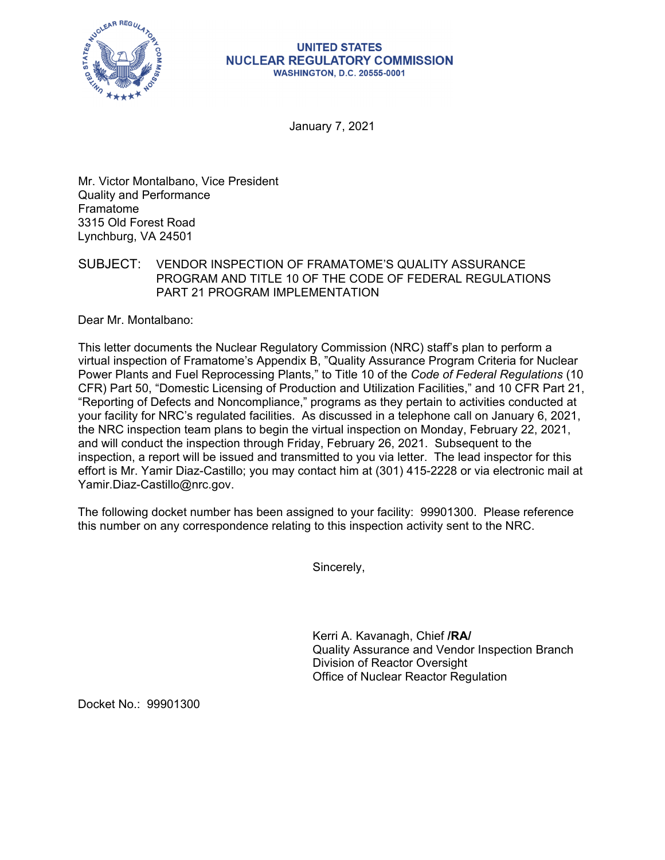

## **UNITED STATES NUCLEAR REGULATORY COMMISSION WASHINGTON, D.C. 20555-0001**

January 7, 2021

Mr. Victor Montalbano, Vice President Quality and Performance Framatome 3315 Old Forest Road Lynchburg, VA 24501

## SUBJECT: VENDOR INSPECTION OF FRAMATOME'S QUALITY ASSURANCE PROGRAM AND TITLE 10 OF THE CODE OF FEDERAL REGULATIONS PART 21 PROGRAM IMPLEMENTATION

Dear Mr. Montalbano:

This letter documents the Nuclear Regulatory Commission (NRC) staff's plan to perform a virtual inspection of Framatome's Appendix B, "Quality Assurance Program Criteria for Nuclear Power Plants and Fuel Reprocessing Plants," to Title 10 of the *Code of Federal Regulations* (10 CFR) Part 50, "Domestic Licensing of Production and Utilization Facilities," and 10 CFR Part 21, "Reporting of Defects and Noncompliance," programs as they pertain to activities conducted at your facility for NRC's regulated facilities. As discussed in a telephone call on January 6, 2021, the NRC inspection team plans to begin the virtual inspection on Monday, February 22, 2021, and will conduct the inspection through Friday, February 26, 2021. Subsequent to the inspection, a report will be issued and transmitted to you via letter. The lead inspector for this effort is Mr. Yamir Diaz-Castillo; you may contact him at (301) 415-2228 or via electronic mail at Yamir.Diaz-Castillo@nrc.gov.

The following docket number has been assigned to your facility: 99901300. Please reference this number on any correspondence relating to this inspection activity sent to the NRC.

Sincerely,

Kerri A. Kavanagh, Chief **/RA/**  Quality Assurance and Vendor Inspection Branch Division of Reactor Oversight Office of Nuclear Reactor Regulation

Docket No.: 99901300